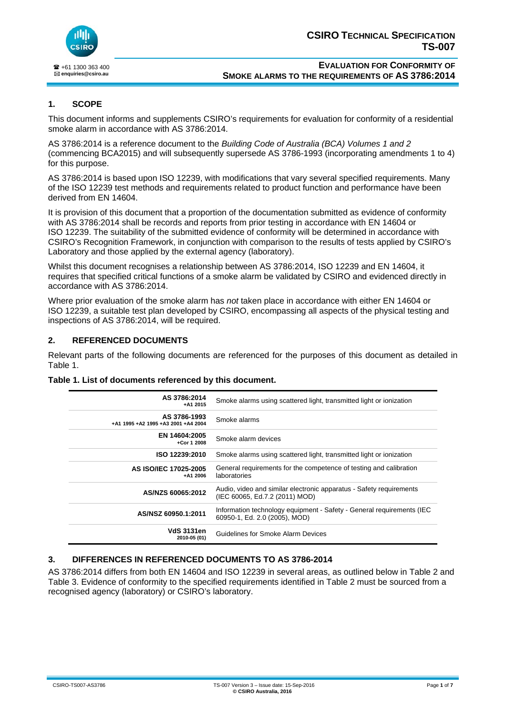

## **1. SCOPE**

This document informs and supplements CSIRO's requirements for evaluation for conformity of a residential smoke alarm in accordance with AS 3786:2014.

AS 3786:2014 is a reference document to the *Building Code of Australia (BCA) Volumes 1 and 2* (commencing BCA2015) and will subsequently supersede AS 3786-1993 (incorporating amendments 1 to 4) for this purpose.

AS 3786:2014 is based upon ISO 12239, with modifications that vary several specified requirements. Many of the ISO 12239 test methods and requirements related to product function and performance have been derived from EN 14604.

It is provision of this document that a proportion of the documentation submitted as evidence of conformity with AS 3786:2014 shall be records and reports from prior testing in accordance with EN 14604 or ISO 12239. The suitability of the submitted evidence of conformity will be determined in accordance with CSIRO's Recognition Framework, in conjunction with comparison to the results of tests applied by CSIRO's Laboratory and those applied by the external agency (laboratory).

Whilst this document recognises a relationship between AS 3786:2014, ISO 12239 and EN 14604, it requires that specified critical functions of a smoke alarm be validated by CSIRO and evidenced directly in accordance with AS 3786:2014.

Where prior evaluation of the smoke alarm has *not* taken place in accordance with either EN 14604 or ISO 12239, a suitable test plan developed by CSIRO, encompassing all aspects of the physical testing and inspections of AS 3786:2014, will be required.

### **2. REFERENCED DOCUMENTS**

Relevant parts of the following documents are referenced for the purposes of this document as detailed in Table 1.

| AS 3786:2014<br>$+ A1 2015$                         | Smoke alarms using scattered light, transmitted light or ionization                                    |
|-----------------------------------------------------|--------------------------------------------------------------------------------------------------------|
| AS 3786-1993<br>+A1 1995 +A2 1995 +A3 2001 +A4 2004 | Smoke alarms                                                                                           |
| EN 14604:2005<br>+Cor 1 2008                        | Smoke alarm devices                                                                                    |
| ISO 12239:2010                                      | Smoke alarms using scattered light, transmitted light or ionization                                    |
| AS ISO/IEC 17025-2005<br>$+ A1 2006$                | General requirements for the competence of testing and calibration<br>laboratories                     |
| AS/NZS 60065:2012                                   | Audio, video and similar electronic apparatus - Safety requirements<br>(IEC 60065, Ed.7.2 (2011) MOD)  |
| AS/NSZ 60950.1:2011                                 | Information technology equipment - Safety - General requirements (IEC<br>60950-1, Ed. 2.0 (2005), MOD) |
| VdS 3131en<br>2010-05 (01)                          | Guidelines for Smoke Alarm Devices                                                                     |

### **Table 1. List of documents referenced by this document.**

### **3. DIFFERENCES IN REFERENCED DOCUMENTS TO AS 3786-2014**

AS 3786:2014 differs from both EN 14604 and ISO 12239 in several areas, as outlined below in Table 2 and Table 3. Evidence of conformity to the specified requirements identified in Table 2 must be sourced from a recognised agency (laboratory) or CSIRO's laboratory.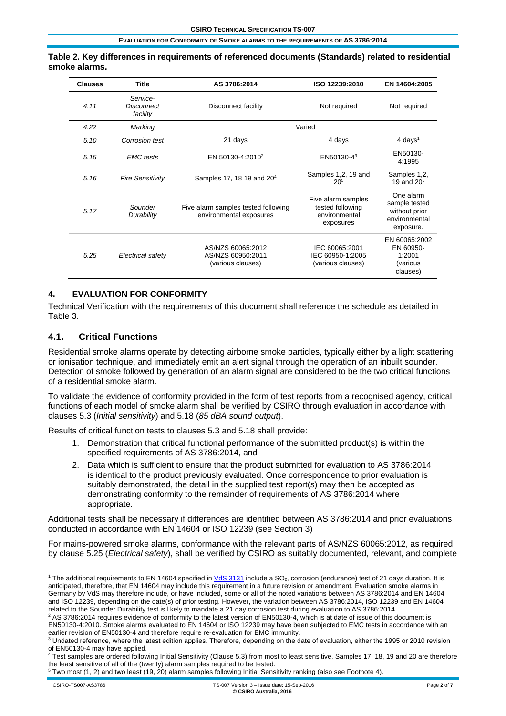#### **Table 2. Key differences in requirements of referenced documents (Standards) related to residential smoke alarms.**

| <b>Clauses</b> | Title                              | AS 3786:2014<br>ISO 12239:2010                                 |                                                                      | EN 14604:2005                                                             |  |
|----------------|------------------------------------|----------------------------------------------------------------|----------------------------------------------------------------------|---------------------------------------------------------------------------|--|
| 4.11           | Service-<br>Disconnect<br>facility | Disconnect facility                                            | Not required                                                         |                                                                           |  |
| 4.22           | Marking                            | Varied                                                         |                                                                      |                                                                           |  |
| 5.10           | Corrosion test                     | 21 days                                                        | 4 days                                                               |                                                                           |  |
| 5.15           | <b>EMC</b> tests                   | EN 50130-4:2010 <sup>2</sup>                                   | EN50130-4 <sup>3</sup>                                               |                                                                           |  |
| 5.16           | <b>Fire Sensitivity</b>            | Samples 17, 18 19 and 20 <sup>4</sup>                          | Samples 1,2, 19 and<br>20 <sup>5</sup>                               | Samples 1,2,<br>19 and $205$                                              |  |
| 5.17           | Sounder<br>Durability              | Five alarm samples tested following<br>environmental exposures | Five alarm samples<br>tested following<br>environmental<br>exposures | One alarm<br>sample tested<br>without prior<br>environmental<br>exposure. |  |
| 5.25           | Electrical safety                  | AS/NZS 60065:2012<br>AS/NZS 60950:2011<br>(various clauses)    | IEC 60065:2001<br>IEC 60950-1:2005<br>(various clauses)              | EN 60065:2002<br>EN 60950-<br>1:2001<br>(various<br>clauses)              |  |

### **4. EVALUATION FOR CONFORMITY**

Technical Verification with the requirements of this document shall reference the schedule as detailed in Table 3.

### **4.1. Critical Functions**

Residential smoke alarms operate by detecting airborne smoke particles, typically either by a light scattering or ionisation technique, and immediately emit an alert signal through the operation of an inbuilt sounder. Detection of smoke followed by generation of an alarm signal are considered to be the two critical functions of a residential smoke alarm.

To validate the evidence of conformity provided in the form of test reports from a recognised agency, critical functions of each model of smoke alarm shall be verified by CSIRO through evaluation in accordance with clauses 5.3 (*Initial sensitivity*) and 5.18 (*85 dBA sound output*).

Results of critical function tests to clauses 5.3 and 5.18 shall provide:

- 1. Demonstration that critical functional performance of the submitted product(s) is within the specified requirements of AS 3786:2014, and
- 2. Data which is sufficient to ensure that the product submitted for evaluation to AS 3786:2014 is identical to the product previously evaluated. Once correspondence to prior evaluation is suitably demonstrated, the detail in the supplied test report(s) may then be accepted as demonstrating conformity to the remainder of requirements of AS 3786:2014 where appropriate.

Additional tests shall be necessary if differences are identified between AS 3786:2014 and prior evaluations conducted in accordance with EN 14604 or ISO 12239 (see Section 3)

For mains-powered smoke alarms, conformance with the relevant parts of AS/NZS 60065:2012, as required by clause 5.25 (*Electrical safety*), shall be verified by CSIRO as suitably documented, relevant, and complete

<sup>2</sup> AS 3786:2014 requires evidence of conformity to the latest version of EN50130-4, which is at date of issue of this document is EN50130-4:2010. Smoke alarms evaluated to EN 14604 or ISO 12239 may have been subjected to EMC tests in accordance with an earlier revision of EN50130-4 and therefore require re-evaluation for EMC immunity.

 $5$  Two most (1, 2) and two least (19, 20) alarm samples following Initial Sensitivity ranking (also see Footnote 4).

<sup>&</sup>lt;sup>1</sup> The additional requirements to EN 14604 specified in VdS 3131 include a SO<sub>2</sub>, corrosion (endurance) test of 21 days duration. It is anticipated, therefore, that EN 14604 may include this requirement in a future revision or amendment. Evaluation smoke alarms in Germany by VdS may therefore include, or have included, some or all of the noted variations between AS 3786:2014 and EN 14604 and ISO 12239, depending on the date(s) of prior testing. However, the variation between AS 3786:2014, ISO 12239 and EN 14604 related to the Sounder Durability test is l kely to mandate a 21 day corrosion test during evaluation to AS 3786:2014.

<sup>&</sup>lt;sup>3</sup> Undated reference, where the latest edition applies. Therefore, depending on the date of evaluation, either the 1995 or 2010 revision of EN50130-4 may have applied.

<sup>4</sup> Test samples are ordered following Initial Sensitivity (Clause 5.3) from most to least sensitive. Samples 17, 18, 19 and 20 are therefore the least sensitive of all of the (twenty) alarm samples required to be tested.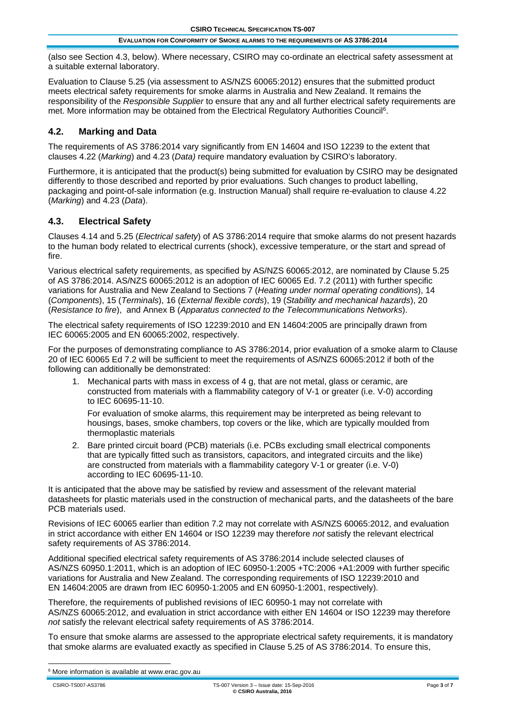(also see Section 4.3, below). Where necessary, CSIRO may co-ordinate an electrical safety assessment at a suitable external laboratory.

Evaluation to Clause 5.25 (via assessment to AS/NZS 60065:2012) ensures that the submitted product meets electrical safety requirements for smoke alarms in Australia and New Zealand. It remains the responsibility of the *Responsible Supplier* to ensure that any and all further electrical safety requirements are met. More information may be obtained from the Electrical Regulatory Authorities Council6.

## **4.2. Marking and Data**

The requirements of AS 3786:2014 vary significantly from EN 14604 and ISO 12239 to the extent that clauses 4.22 (*Marking*) and 4.23 (*Data)* require mandatory evaluation by CSIRO's laboratory.

Furthermore, it is anticipated that the product(s) being submitted for evaluation by CSIRO may be designated differently to those described and reported by prior evaluations. Such changes to product labelling, packaging and point-of-sale information (e.g. Instruction Manual) shall require re-evaluation to clause 4.22 (*Marking*) and 4.23 (*Data*).

## **4.3. Electrical Safety**

Clauses 4.14 and 5.25 (*Electrical safety*) of AS 3786:2014 require that smoke alarms do not present hazards to the human body related to electrical currents (shock), excessive temperature, or the start and spread of fire.

Various electrical safety requirements, as specified by AS/NZS 60065:2012, are nominated by Clause 5.25 of AS 3786:2014. AS/NZS 60065:2012 is an adoption of IEC 60065 Ed. 7.2 (2011) with further specific variations for Australia and New Zealand to Sections 7 (*Heating under normal operating conditions*), 14 (*Components*), 15 (*Terminals*), 16 (*External flexible cords*), 19 (*Stability and mechanical hazards*), 20 (*Resistance to fire*), and Annex B (*Apparatus connected to the Telecommunications Networks*).

The electrical safety requirements of ISO 12239:2010 and EN 14604:2005 are principally drawn from IEC 60065:2005 and EN 60065:2002, respectively.

For the purposes of demonstrating compliance to AS 3786:2014, prior evaluation of a smoke alarm to Clause 20 of IEC 60065 Ed 7.2 will be sufficient to meet the requirements of AS/NZS 60065:2012 if both of the following can additionally be demonstrated:

1. Mechanical parts with mass in excess of 4 g, that are not metal, glass or ceramic, are constructed from materials with a flammability category of V-1 or greater (i.e. V-0) according to IEC 60695-11-10.

For evaluation of smoke alarms, this requirement may be interpreted as being relevant to housings, bases, smoke chambers, top covers or the like, which are typically moulded from thermoplastic materials

2. Bare printed circuit board (PCB) materials (i.e. PCBs excluding small electrical components that are typically fitted such as transistors, capacitors, and integrated circuits and the like) are constructed from materials with a flammability category V-1 or greater (i.e. V-0) according to IEC 60695-11-10.

It is anticipated that the above may be satisfied by review and assessment of the relevant material datasheets for plastic materials used in the construction of mechanical parts, and the datasheets of the bare PCB materials used.

Revisions of IEC 60065 earlier than edition 7.2 may not correlate with AS/NZS 60065:2012, and evaluation in strict accordance with either EN 14604 or ISO 12239 may therefore *not* satisfy the relevant electrical safety requirements of AS 3786:2014.

Additional specified electrical safety requirements of AS 3786:2014 include selected clauses of AS/NZS 60950.1:2011, which is an adoption of IEC 60950-1:2005 +TC:2006 +A1:2009 with further specific variations for Australia and New Zealand. The corresponding requirements of ISO 12239:2010 and EN 14604:2005 are drawn from IEC 60950-1:2005 and EN 60950-1:2001, respectively).

Therefore, the requirements of published revisions of IEC 60950-1 may not correlate with AS/NZS 60065:2012, and evaluation in strict accordance with either EN 14604 or ISO 12239 may therefore *not* satisfy the relevant electrical safety requirements of AS 3786:2014.

To ensure that smoke alarms are assessed to the appropriate electrical safety requirements, it is mandatory that smoke alarms are evaluated exactly as specified in Clause 5.25 of AS 3786:2014. To ensure this,

 <sup>6</sup> More information is available at www.erac.gov.au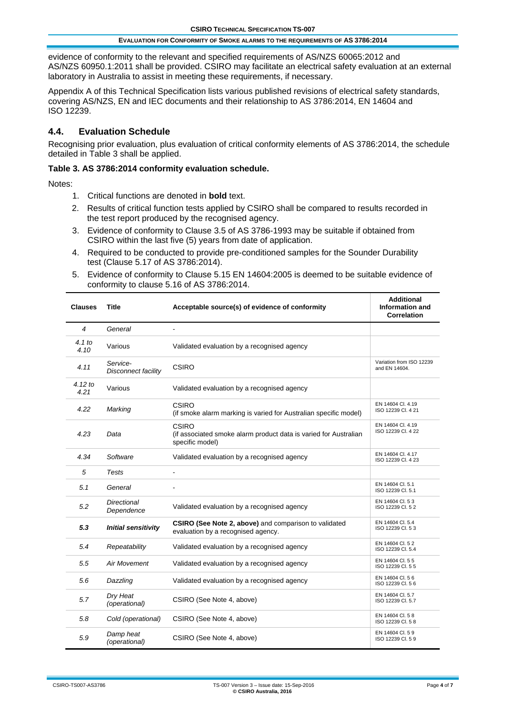evidence of conformity to the relevant and specified requirements of AS/NZS 60065:2012 and AS/NZS 60950.1:2011 shall be provided. CSIRO may facilitate an electrical safety evaluation at an external laboratory in Australia to assist in meeting these requirements, if necessary.

Appendix A of this Technical Specification lists various published revisions of electrical safety standards, covering AS/NZS, EN and IEC documents and their relationship to AS 3786:2014, EN 14604 and ISO 12239.

## **4.4. Evaluation Schedule**

Recognising prior evaluation, plus evaluation of critical conformity elements of AS 3786:2014, the schedule detailed in Table 3 shall be applied.

### **Table 3. AS 3786:2014 conformity evaluation schedule.**

Notes:

- 1. Critical functions are denoted in **bold** text.
- 2. Results of critical function tests applied by CSIRO shall be compared to results recorded in the test report produced by the recognised agency.
- 3. Evidence of conformity to Clause 3.5 of AS 3786-1993 may be suitable if obtained from CSIRO within the last five (5) years from date of application.
- 4. Required to be conducted to provide pre-conditioned samples for the Sounder Durability test (Clause 5.17 of AS 3786:2014).
- 5. Evidence of conformity to Clause 5.15 EN 14604:2005 is deemed to be suitable evidence of conformity to clause 5.16 of AS 3786:2014.

| <b>Clauses</b>    | <b>Title</b>                     | Acceptable source(s) of evidence of conformity                                                      | <b>Additional</b><br><b>Information and</b><br>Correlation |
|-------------------|----------------------------------|-----------------------------------------------------------------------------------------------------|------------------------------------------------------------|
| 4                 | General                          | ÷                                                                                                   |                                                            |
| 4.1 to<br>4.10    | Various                          | Validated evaluation by a recognised agency                                                         |                                                            |
| 4.11              | Service-<br>Disconnect facility  | <b>CSIRO</b>                                                                                        | Variation from ISO 12239<br>and EN 14604.                  |
| $4.12$ to<br>4.21 | Various                          | Validated evaluation by a recognised agency                                                         |                                                            |
| 4.22              | Marking                          | CSIRO<br>(if smoke alarm marking is varied for Australian specific model)                           | EN 14604 Cl. 4.19<br>ISO 12239 Cl. 4 21                    |
| 4.23              | Data                             | <b>CSIRO</b><br>(if associated smoke alarm product data is varied for Australian<br>specific model) | EN 14604 Cl. 4.19<br>ISO 12239 Cl. 4 22                    |
| 4.34              | Software                         | Validated evaluation by a recognised agency                                                         | EN 14604 Cl. 4.17<br>ISO 12239 Cl. 4 23                    |
| 5                 | Tests                            |                                                                                                     |                                                            |
| 5.1               | General                          |                                                                                                     | EN 14604 Cl. 5.1<br>ISO 12239 Cl. 5.1                      |
| 5.2               | <b>Directional</b><br>Dependence | Validated evaluation by a recognised agency                                                         | EN 14604 Cl. 53<br>ISO 12239 CI. 5 2                       |
| 5.3               | <b>Initial sensitivity</b>       | CSIRO (See Note 2, above) and comparison to validated<br>evaluation by a recognised agency.         | EN 14604 Cl. 5.4<br>ISO 12239 Cl. 53                       |
| 5.4               | Repeatability                    | Validated evaluation by a recognised agency                                                         | EN 14604 Cl. 52<br>ISO 12239 Cl. 5.4                       |
| 5.5               | <b>Air Movement</b>              | Validated evaluation by a recognised agency                                                         | EN 14604 Cl. 5 5<br>ISO 12239 Cl. 55                       |
| 5.6               | Dazzling                         | Validated evaluation by a recognised agency                                                         | EN 14604 Cl. 5 6<br>ISO 12239 CI. 56                       |
| 5.7               | Dry Heat<br>(operational)        | CSIRO (See Note 4, above)                                                                           | EN 14604 Cl. 5.7<br>ISO 12239 CI. 5.7                      |
| 5.8               | Cold (operational)               | CSIRO (See Note 4, above)                                                                           | EN 14604 Cl. 58<br>ISO 12239 CI. 58                        |
| 5.9               | Damp heat<br>(operational)       | CSIRO (See Note 4, above)                                                                           | EN 14604 Cl. 59<br>ISO 12239 CI, 59                        |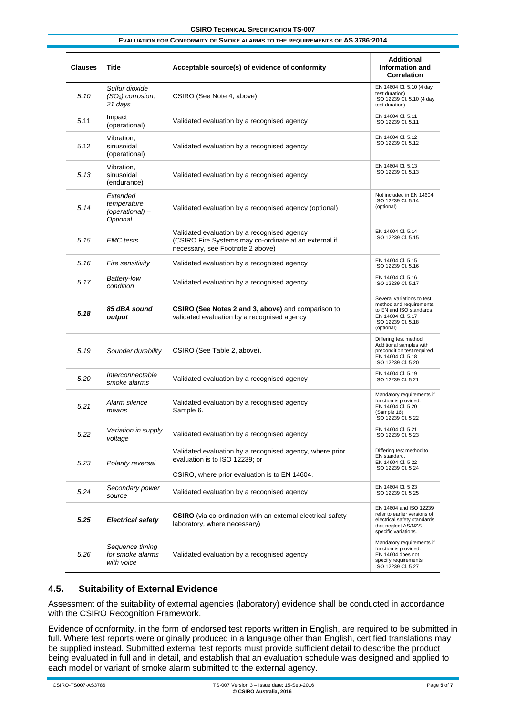| <b>Clauses</b> | Title                                                  | Acceptable source(s) of evidence of conformity                                                                                           | <b>Additional</b><br>Information and<br><b>Correlation</b>                                                                                 |
|----------------|--------------------------------------------------------|------------------------------------------------------------------------------------------------------------------------------------------|--------------------------------------------------------------------------------------------------------------------------------------------|
| 5.10           | Sulfur dioxide<br>$(SO2)$ corrosion,<br>21 days        | CSIRO (See Note 4, above)                                                                                                                | EN 14604 Cl. 5.10 (4 day<br>test duration)<br>ISO 12239 Cl. 5.10 (4 day<br>test duration)                                                  |
| 5.11           | Impact<br>(operational)                                | Validated evaluation by a recognised agency                                                                                              | EN 14604 Cl. 5.11<br>ISO 12239 Cl. 5.11                                                                                                    |
| 5.12           | Vibration,<br>sinusoidal<br>(operational)              | Validated evaluation by a recognised agency                                                                                              | EN 14604 Cl. 5.12<br>ISO 12239 Cl. 5.12                                                                                                    |
| 5.13           | Vibration.<br>sinusoidal<br>(endurance)                | Validated evaluation by a recognised agency                                                                                              | EN 14604 Cl. 5.13<br>ISO 12239 Cl. 5.13                                                                                                    |
| 5.14           | Extended<br>temperature<br>(operational) –<br>Optional | Validated evaluation by a recognised agency (optional)                                                                                   | Not included in EN 14604<br>ISO 12239 Cl. 5.14<br>(optional)                                                                               |
| 5.15           | <b>EMC</b> tests                                       | Validated evaluation by a recognised agency<br>(CSIRO Fire Systems may co-ordinate at an external if<br>necessary, see Footnote 2 above) | EN 14604 Cl. 5.14<br>ISO 12239 Cl. 5.15                                                                                                    |
| 5.16           | Fire sensitivity                                       | Validated evaluation by a recognised agency                                                                                              | EN 14604 Cl. 5.15<br>ISO 12239 Cl. 5.16                                                                                                    |
| 5.17           | Battery-low<br>condition                               | Validated evaluation by a recognised agency                                                                                              | EN 14604 Cl. 5.16<br>ISO 12239 Cl. 5.17                                                                                                    |
| 5.18           | 85 dBA sound<br>output                                 | <b>CSIRO (See Notes 2 and 3, above)</b> and comparison to<br>validated evaluation by a recognised agency                                 | Several variations to test<br>method and requirements<br>to EN and ISO standards.<br>EN 14604 Cl. 5.17<br>ISO 12239 Cl. 5.18<br>(optional) |
| 5.19           | Sounder durability                                     | CSIRO (See Table 2, above).                                                                                                              | Differing test method.<br>Additional samples with<br>precondition test required.<br>EN 14604 Cl. 5.18<br>ISO 12239 Cl. 5 20                |
| 5.20           | Interconnectable<br>smoke alarms                       | Validated evaluation by a recognised agency                                                                                              | EN 14604 Cl. 5.19<br>ISO 12239 Cl. 5 21                                                                                                    |
| 5.21           | Alarm silence<br>means                                 | Validated evaluation by a recognised agency<br>Sample 6.                                                                                 | Mandatory requirements if<br>function is provided.<br>EN 14604 Cl. 5 20<br>(Sample 16)<br>ISO 12239 Cl. 5 22                               |
| 5.22           | Variation in supply<br>voltage                         | Validated evaluation by a recognised agency                                                                                              | EN 14604 Cl. 5 21<br>ISO 12239 Cl. 5 23                                                                                                    |
| 5.23           | Polarity reversal                                      | Validated evaluation by a recognised agency, where prior<br>evaluation is to ISO 12239; or                                               | Differing test method to<br>EN standard.<br>EN 14604 Cl. 5 22<br>ISO 12239 Cl. 5 24                                                        |
|                |                                                        | CSIRO, where prior evaluation is to EN 14604.                                                                                            |                                                                                                                                            |
| 5.24           | Secondary power<br>source                              | Validated evaluation by a recognised agency                                                                                              | EN 14604 Cl. 5 23<br>ISO 12239 Cl. 5 25                                                                                                    |
| 5.25           | <b>Electrical safety</b>                               | <b>CSIRO</b> (via co-ordination with an external electrical safety<br>laboratory, where necessary)                                       | EN 14604 and ISO 12239<br>refer to earlier versions of<br>electrical safety standards<br>that neglect AS/NZS<br>specific variations.       |
| 5.26           | Sequence timing<br>for smoke alarms<br>with voice      | Validated evaluation by a recognised agency                                                                                              | Mandatory requirements if<br>function is provided.<br>EN 14604 does not<br>specify requirements.<br>ISO 12239 Cl. 5 27                     |

## **4.5. Suitability of External Evidence**

Assessment of the suitability of external agencies (laboratory) evidence shall be conducted in accordance with the CSIRO Recognition Framework.

Evidence of conformity, in the form of endorsed test reports written in English, are required to be submitted in full. Where test reports were originally produced in a language other than English, certified translations may be supplied instead. Submitted external test reports must provide sufficient detail to describe the product being evaluated in full and in detail, and establish that an evaluation schedule was designed and applied to each model or variant of smoke alarm submitted to the external agency.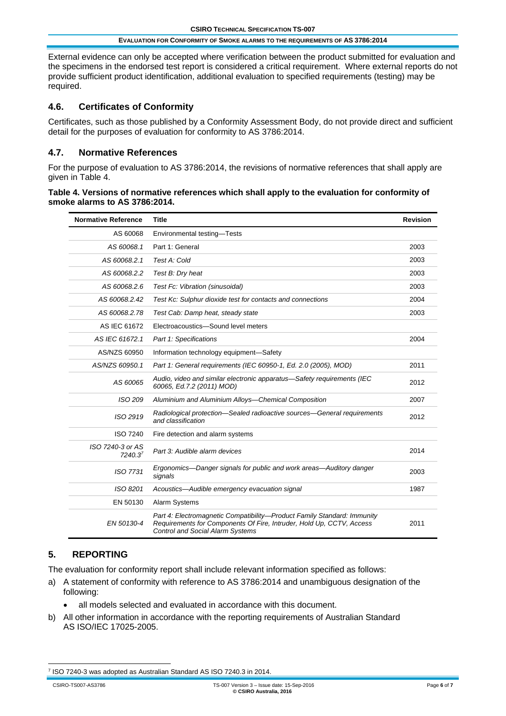External evidence can only be accepted where verification between the product submitted for evaluation and the specimens in the endorsed test report is considered a critical requirement. Where external reports do not provide sufficient product identification, additional evaluation to specified requirements (testing) may be required.

## **4.6. Certificates of Conformity**

Certificates, such as those published by a Conformity Assessment Body, do not provide direct and sufficient detail for the purposes of evaluation for conformity to AS 3786:2014.

## **4.7. Normative References**

For the purpose of evaluation to AS 3786:2014, the revisions of normative references that shall apply are given in Table 4.

| Table 4. Versions of normative references which shall apply to the evaluation for conformity of |
|-------------------------------------------------------------------------------------------------|
| smoke alarms to AS 3786:2014.                                                                   |

| <b>Normative Reference</b>  | <b>Title</b>                                                                                                                                                                               | <b>Revision</b> |
|-----------------------------|--------------------------------------------------------------------------------------------------------------------------------------------------------------------------------------------|-----------------|
| AS 60068                    | Environmental testing-Tests                                                                                                                                                                |                 |
| AS 60068.1                  | Part 1: General                                                                                                                                                                            | 2003            |
| AS 60068.2.1                | Test A: Cold                                                                                                                                                                               | 2003            |
| AS 60068.2.2                | Test B: Dry heat                                                                                                                                                                           | 2003            |
| AS 60068.2.6                | Test Fc: Vibration (sinusoidal)                                                                                                                                                            | 2003            |
| AS 60068.2.42               | Test Kc: Sulphur dioxide test for contacts and connections                                                                                                                                 | 2004            |
| AS 60068.2.78               | Test Cab: Damp heat, steady state                                                                                                                                                          | 2003            |
| AS IEC 61672                | Electroacoustics-Sound level meters                                                                                                                                                        |                 |
| AS IEC 61672.1              | Part 1: Specifications                                                                                                                                                                     | 2004            |
| AS/NZS 60950                | Information technology equipment-Safety                                                                                                                                                    |                 |
| AS/NZS 60950.1              | Part 1: General requirements (IEC 60950-1, Ed. 2.0 (2005), MOD)                                                                                                                            | 2011            |
| AS 60065                    | Audio, video and similar electronic apparatus-Safety requirements (IEC<br>60065, Ed.7.2 (2011) MOD)                                                                                        | 2012            |
| ISO 209                     | Aluminium and Aluminium Alloys-Chemical Composition                                                                                                                                        | 2007            |
| ISO 2919                    | Radiological protection-Sealed radioactive sources-General requirements<br>and classification                                                                                              | 2012            |
| <b>ISO 7240</b>             | Fire detection and alarm systems                                                                                                                                                           |                 |
| ISO 7240-3 or AS<br>7240.37 | Part 3: Audible alarm devices                                                                                                                                                              | 2014            |
| ISO 7731                    | Ergonomics—Danger signals for public and work areas—Auditory danger<br>signals                                                                                                             | 2003            |
| ISO 8201                    | Acoustics—Audible emergency evacuation signal                                                                                                                                              | 1987            |
| EN 50130                    | <b>Alarm Systems</b>                                                                                                                                                                       |                 |
| EN 50130-4                  | Part 4: Electromagnetic Compatibility—Product Family Standard: Immunity<br>Requirements for Components Of Fire, Intruder, Hold Up, CCTV, Access<br><b>Control and Social Alarm Systems</b> | 2011            |

## **5. REPORTING**

The evaluation for conformity report shall include relevant information specified as follows:

- a) A statement of conformity with reference to AS 3786:2014 and unambiguous designation of the following:
	- all models selected and evaluated in accordance with this document.
- b) All other information in accordance with the reporting requirements of Australian Standard AS ISO/IEC 17025-2005.

<sup>7</sup> ISO 7240-3 was adopted as Australian Standard AS ISO 7240.3 in 2014.